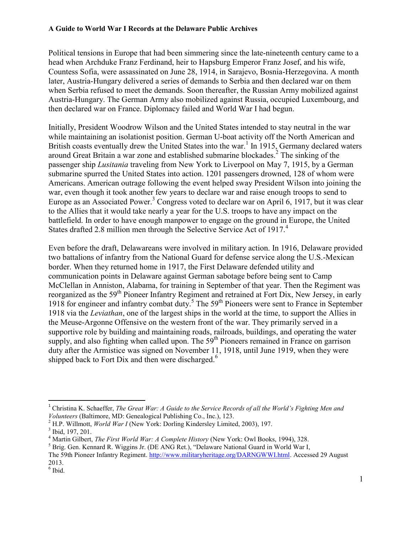Political tensions in Europe that had been simmering since the late-nineteenth century came to a head when Archduke Franz Ferdinand, heir to Hapsburg Emperor Franz Josef, and his wife, Countess Sofia, were assassinated on June 28, 1914, in Sarajevo, Bosnia-Herzegovina. A month later, Austria-Hungary delivered a series of demands to Serbia and then declared war on them when Serbia refused to meet the demands. Soon thereafter, the Russian Army mobilized against Austria-Hungary. The German Army also mobilized against Russia, occupied Luxembourg, and then declared war on France. Diplomacy failed and World War I had begun.

Initially, President Woodrow Wilson and the United States intended to stay neutral in the war while maintaining an isolationist position. German U-boat activity off the North American and British coasts eventually drew the United States into the war.<sup>1</sup> In 1915, Germany declared waters around Great Britain a war zone and established submarine blockades.<sup>2</sup> The sinking of the passenger ship *Lusitania* traveling from New York to Liverpool on May 7, 1915, by a German submarine spurred the United States into action. 1201 passengers drowned, 128 of whom were Americans. American outrage following the event helped sway President Wilson into joining the war, even though it took another few years to declare war and raise enough troops to send to Europe as an Associated Power.<sup>3</sup> Congress voted to declare war on April 6, 1917, but it was clear to the Allies that it would take nearly a year for the U.S. troops to have any impact on the battlefield. In order to have enough manpower to engage on the ground in Europe, the United States drafted 2.8 million men through the Selective Service Act of 1917.<sup>4</sup>

Even before the draft, Delawareans were involved in military action. In 1916, Delaware provided two battalions of infantry from the National Guard for defense service along the U.S.-Mexican border. When they returned home in 1917, the First Delaware defended utility and communication points in Delaware against German sabotage before being sent to Camp McClellan in Anniston, Alabama, for training in September of that year. Then the Regiment was reorganized as the 59<sup>th</sup> Pioneer Infantry Regiment and retrained at Fort Dix, New Jersey, in early 1918 for engineer and infantry combat duty.<sup>5</sup> The  $59<sup>th</sup>$  Pioneers were sent to France in September 1918 via the *Leviathan*, one of the largest ships in the world at the time, to support the Allies in the Meuse-Argonne Offensive on the western front of the war. They primarily served in a supportive role by building and maintaining roads, railroads, buildings, and operating the water supply, and also fighting when called upon. The 59<sup>th</sup> Pioneers remained in France on garrison duty after the Armistice was signed on November 11, 1918, until June 1919, when they were shipped back to Fort Dix and then were discharged.<sup>6</sup>

 $\overline{\phantom{a}}$ <sup>1</sup> Christina K. Schaeffer, *The Great War: A Guide to the Service Records of all the World's Fighting Men and Volunteers* (Baltimore, MD: Genealogical Publishing Co., Inc.), 123.

<sup>&</sup>lt;sup>2</sup> H.P. Willmott, *World War I* (New York: Dorling Kindersley Limited, 2003), 197.

<sup>&</sup>lt;sup>3</sup> Ibid, 197, 201.

<sup>4</sup> Martin Gilbert, *The First World War: A Complete History* (New York: Owl Books, 1994), 328.

<sup>&</sup>lt;sup>5</sup> Brig. Gen. Kennard R. Wiggins Jr. (DE ANG Ret.), "Delaware National Guard in World War I,

The 59th Pioneer Infantry Regiment. [http://www.militaryheritage.org/DARNGWWI.html.](http://www.militaryheritage.org/DARNGWWI.html) Accessed 29 August 2013.

 $6$  Ibid.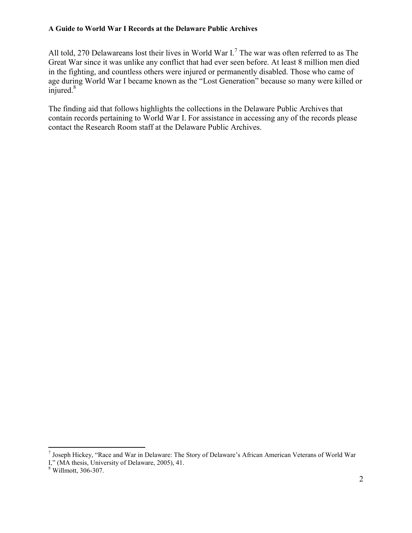All told, 270 Delawareans lost their lives in World War I.<sup>7</sup> The war was often referred to as The Great War since it was unlike any conflict that had ever seen before. At least 8 million men died in the fighting, and countless others were injured or permanently disabled. Those who came of age during World War I became known as the "Lost Generation" because so many were killed or injured. $8$ 

The finding aid that follows highlights the collections in the Delaware Public Archives that contain records pertaining to World War I. For assistance in accessing any of the records please contact the Research Room staff at the Delaware Public Archives.

 $\overline{\phantom{a}}$ 

<sup>7</sup> Joseph Hickey, "Race and War in Delaware: The Story of Delaware's African American Veterans of World War I," (MA thesis, University of Delaware, 2005), 41.

<sup>8</sup> Willmott, 306-307.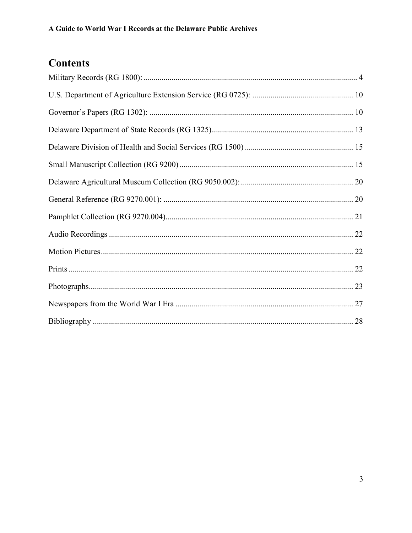# **Contents**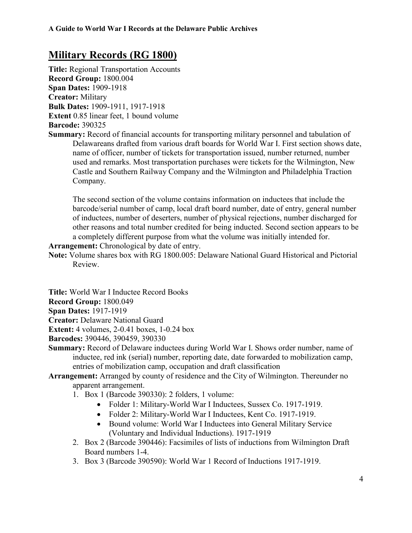## <span id="page-3-0"></span>**Military Records (RG 1800)**

**Title:** Regional Transportation Accounts **Record Group:** 1800.004 **Span Dates:** 1909-1918 **Creator:** Military **Bulk Dates:** 1909-1911, 1917-1918 **Extent** 0.85 linear feet, 1 bound volume **Barcode:** 390325

**Summary:** Record of financial accounts for transporting military personnel and tabulation of Delawareans drafted from various draft boards for World War I. First section shows date, name of officer, number of tickets for transportation issued, number returned, number used and remarks. Most transportation purchases were tickets for the Wilmington, New Castle and Southern Railway Company and the Wilmington and Philadelphia Traction Company.

The second section of the volume contains information on inductees that include the barcode/serial number of camp, local draft board number, date of entry, general number of inductees, number of deserters, number of physical rejections, number discharged for other reasons and total number credited for being inducted. Second section appears to be a completely different purpose from what the volume was initially intended for.

**Arrangement:** Chronological by date of entry.

**Note:** Volume shares box with RG 1800.005: Delaware National Guard Historical and Pictorial Review.

**Title:** World War I Inductee Record Books

**Record Group:** 1800.049

**Span Dates:** 1917-1919

**Creator:** Delaware National Guard

**Extent:** 4 volumes, 2-0.41 boxes, 1-0.24 box

**Barcodes:** 390446, 390459, 390330

- **Summary:** Record of Delaware inductees during World War I. Shows order number, name of inductee, red ink (serial) number, reporting date, date forwarded to mobilization camp, entries of mobilization camp, occupation and draft classification
- **Arrangement:** Arranged by county of residence and the City of Wilmington. Thereunder no apparent arrangement.
	- 1. Box 1 (Barcode 390330): 2 folders, 1 volume:
		- Folder 1: Military-World War I Inductees, Sussex Co. 1917-1919.
		- Folder 2: Military-World War I Inductees, Kent Co. 1917-1919.
		- Bound volume: World War I Inductees into General Military Service (Voluntary and Individual Inductions). 1917-1919
	- 2. Box 2 (Barcode 390446): Facsimiles of lists of inductions from Wilmington Draft Board numbers 1-4.
	- 3. Box 3 (Barcode 390590): World War 1 Record of Inductions 1917-1919.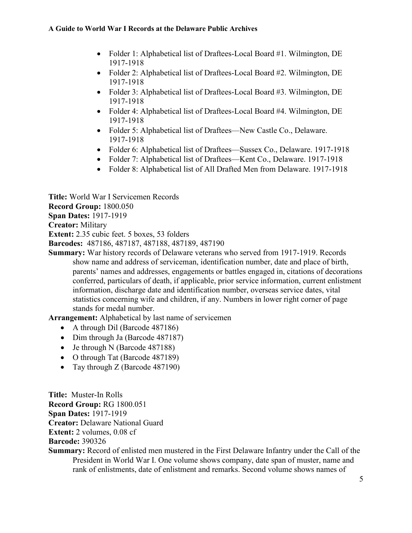- Folder 1: Alphabetical list of Draftees-Local Board #1. Wilmington, DE 1917-1918
- Folder 2: Alphabetical list of Draftees-Local Board #2. Wilmington, DE 1917-1918
- Folder 3: Alphabetical list of Draftees-Local Board #3. Wilmington, DE 1917-1918
- Folder 4: Alphabetical list of Draftees-Local Board #4. Wilmington, DE 1917-1918
- Folder 5: Alphabetical list of Draftees—New Castle Co., Delaware. 1917-1918
- Folder 6: Alphabetical list of Draftees—Sussex Co., Delaware. 1917-1918
- Folder 7: Alphabetical list of Draftees—Kent Co., Delaware. 1917-1918
- Folder 8: Alphabetical list of All Drafted Men from Delaware. 1917-1918

**Title:** World War I Servicemen Records **Record Group:** 1800.050 **Span Dates:** 1917-1919 **Creator:** Military **Extent:** 2.35 cubic feet. 5 boxes, 53 folders

**Barcodes:** 487186, 487187, 487188, 487189, 487190

**Summary:** War history records of Delaware veterans who served from 1917-1919. Records show name and address of serviceman, identification number, date and place of birth, parents' names and addresses, engagements or battles engaged in, citations of decorations conferred, particulars of death, if applicable, prior service information, current enlistment information, discharge date and identification number, overseas service dates, vital statistics concerning wife and children, if any. Numbers in lower right corner of page stands for medal number.

**Arrangement:** Alphabetical by last name of servicemen

- A through Dil (Barcode 487186)
- Dim through Ja (Barcode 487187)
- Je through N (Barcode 487188)
- O through Tat (Barcode 487189)
- Tay through Z (Barcode 487190)

**Title:** Muster-In Rolls **Record Group:** RG 1800.051 **Span Dates:** 1917-1919 **Creator:** Delaware National Guard **Extent:** 2 volumes, 0.08 cf

**Barcode:** 390326

**Summary:** Record of enlisted men mustered in the First Delaware Infantry under the Call of the President in World War I. One volume shows company, date span of muster, name and rank of enlistments, date of enlistment and remarks. Second volume shows names of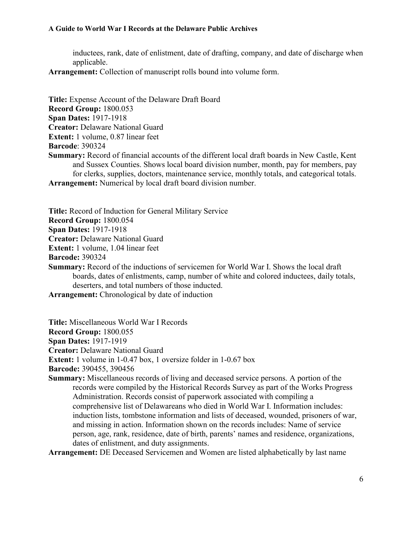inductees, rank, date of enlistment, date of drafting, company, and date of discharge when applicable.

**Arrangement:** Collection of manuscript rolls bound into volume form.

**Title:** Expense Account of the Delaware Draft Board **Record Group:** 1800.053 **Span Dates:** 1917-1918 **Creator:** Delaware National Guard **Extent:** 1 volume, 0.87 linear feet **Barcode**: 390324 **Summary:** Record of financial accounts of the different local draft boards in New Castle, Kent and Sussex Counties. Shows local board division number, month, pay for members, pay for clerks, supplies, doctors, maintenance service, monthly totals, and categorical totals. **Arrangement:** Numerical by local draft board division number.

**Title:** Record of Induction for General Military Service **Record Group:** 1800.054 **Span Dates:** 1917-1918 **Creator:** Delaware National Guard **Extent:** 1 volume, 1.04 linear feet **Barcode:** 390324

**Summary:** Record of the inductions of servicemen for World War I. Shows the local draft boards, dates of enlistments, camp, number of white and colored inductees, daily totals, deserters, and total numbers of those inducted.

**Arrangement:** Chronological by date of induction

**Title:** Miscellaneous World War I Records

**Record Group:** 1800.055

**Span Dates:** 1917-1919

**Creator:** Delaware National Guard

**Extent:** 1 volume in 1-0.47 box, 1 oversize folder in 1-0.67 box

**Barcode:** 390455, 390456

**Summary:** Miscellaneous records of living and deceased service persons. A portion of the records were compiled by the Historical Records Survey as part of the Works Progress Administration. Records consist of paperwork associated with compiling a comprehensive list of Delawareans who died in World War I. Information includes: induction lists, tombstone information and lists of deceased, wounded, prisoners of war, and missing in action. Information shown on the records includes: Name of service person, age, rank, residence, date of birth, parents' names and residence, organizations, dates of enlistment, and duty assignments.

**Arrangement:** DE Deceased Servicemen and Women are listed alphabetically by last name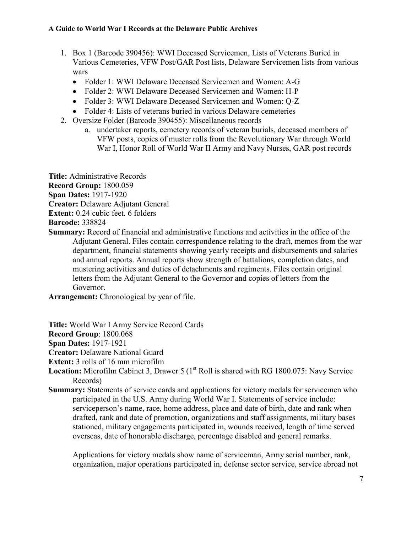- 1. Box 1 (Barcode 390456): WWI Deceased Servicemen, Lists of Veterans Buried in Various Cemeteries, VFW Post/GAR Post lists, Delaware Servicemen lists from various wars
	- Folder 1: WWI Delaware Deceased Servicemen and Women: A-G
	- Folder 2: WWI Delaware Deceased Servicemen and Women: H-P
	- Folder 3: WWI Delaware Deceased Servicemen and Women: Q-Z
	- Folder 4: Lists of veterans buried in various Delaware cemeteries
- 2. Oversize Folder (Barcode 390455): Miscellaneous records
	- a. undertaker reports, cemetery records of veteran burials, deceased members of VFW posts, copies of muster rolls from the Revolutionary War through World War I, Honor Roll of World War II Army and Navy Nurses, GAR post records

**Title:** Administrative Records

**Record Group:** 1800.059

**Span Dates:** 1917-1920

**Creator:** Delaware Adjutant General

**Extent:** 0.24 cubic feet. 6 folders

**Barcode:** 338824

**Summary:** Record of financial and administrative functions and activities in the office of the Adjutant General. Files contain correspondence relating to the draft, memos from the war department, financial statements showing yearly receipts and disbursements and salaries and annual reports. Annual reports show strength of battalions, completion dates, and mustering activities and duties of detachments and regiments. Files contain original letters from the Adjutant General to the Governor and copies of letters from the Governor.

**Arrangement:** Chronological by year of file.

**Title:** World War I Army Service Record Cards

**Record Group**: 1800.068

**Span Dates:** 1917-1921

**Creator:** Delaware National Guard

**Extent:** 3 rolls of 16 mm microfilm

Location: Microfilm Cabinet 3, Drawer 5 (1<sup>st</sup> Roll is shared with RG 1800.075: Navy Service Records)

**Summary:** Statements of service cards and applications for victory medals for servicemen who participated in the U.S. Army during World War I. Statements of service include: serviceperson's name, race, home address, place and date of birth, date and rank when drafted, rank and date of promotion, organizations and staff assignments, military bases stationed, military engagements participated in, wounds received, length of time served overseas, date of honorable discharge, percentage disabled and general remarks.

Applications for victory medals show name of serviceman, Army serial number, rank, organization, major operations participated in, defense sector service, service abroad not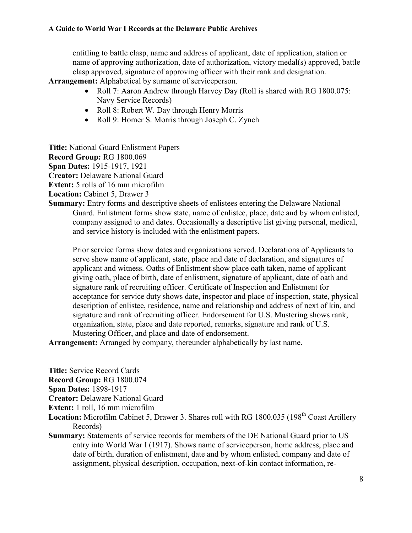entitling to battle clasp, name and address of applicant, date of application, station or name of approving authorization, date of authorization, victory medal(s) approved, battle clasp approved, signature of approving officer with their rank and designation.

**Arrangement:** Alphabetical by surname of serviceperson.

- Roll 7: Aaron Andrew through Harvey Day (Roll is shared with RG 1800.075: Navy Service Records)
- Roll 8: Robert W. Day through Henry Morris
- Roll 9: Homer S. Morris through Joseph C. Zynch

**Title:** National Guard Enlistment Papers

**Record Group:** RG 1800.069

**Span Dates:** 1915-1917, 1921

**Creator:** Delaware National Guard

**Extent:** 5 rolls of 16 mm microfilm

**Location:** Cabinet 5, Drawer 3

**Summary:** Entry forms and descriptive sheets of enlistees entering the Delaware National Guard. Enlistment forms show state, name of enlistee, place, date and by whom enlisted, company assigned to and dates. Occasionally a descriptive list giving personal, medical, and service history is included with the enlistment papers.

Prior service forms show dates and organizations served. Declarations of Applicants to serve show name of applicant, state, place and date of declaration, and signatures of applicant and witness. Oaths of Enlistment show place oath taken, name of applicant giving oath, place of birth, date of enlistment, signature of applicant, date of oath and signature rank of recruiting officer. Certificate of Inspection and Enlistment for acceptance for service duty shows date, inspector and place of inspection, state, physical description of enlistee, residence, name and relationship and address of next of kin, and signature and rank of recruiting officer. Endorsement for U.S. Mustering shows rank, organization, state, place and date reported, remarks, signature and rank of U.S. Mustering Officer, and place and date of endorsement.

**Arrangement:** Arranged by company, thereunder alphabetically by last name.

**Title:** Service Record Cards

**Record Group:** RG 1800.074

**Span Dates:** 1898-1917

**Creator:** Delaware National Guard

**Extent:** 1 roll, 16 mm microfilm

- Location: Microfilm Cabinet 5, Drawer 3. Shares roll with RG 1800.035 (198<sup>th</sup> Coast Artillery Records)
- **Summary:** Statements of service records for members of the DE National Guard prior to US entry into World War I (1917). Shows name of serviceperson, home address, place and date of birth, duration of enlistment, date and by whom enlisted, company and date of assignment, physical description, occupation, next-of-kin contact information, re-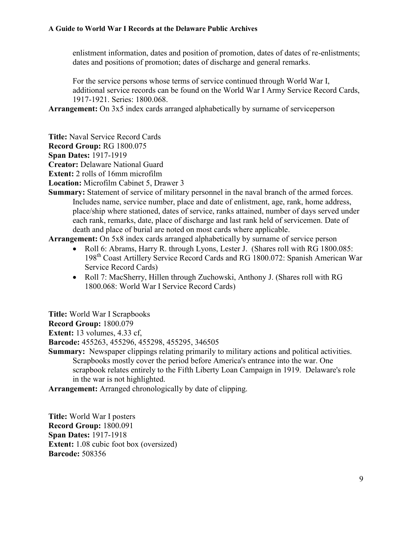enlistment information, dates and position of promotion, dates of dates of re-enlistments; dates and positions of promotion; dates of discharge and general remarks.

For the service persons whose terms of service continued through World War I, additional service records can be found on the World War I Army Service Record Cards, 1917-1921. Series: 1800.068.

**Arrangement:** On 3x5 index cards arranged alphabetically by surname of serviceperson

**Title:** Naval Service Record Cards

**Record Group:** RG 1800.075

**Span Dates:** 1917-1919

**Creator:** Delaware National Guard

**Extent:** 2 rolls of 16mm microfilm

**Location:** Microfilm Cabinet 5, Drawer 3

**Summary:** Statement of service of military personnel in the naval branch of the armed forces. Includes name, service number, place and date of enlistment, age, rank, home address, place/ship where stationed, dates of service, ranks attained, number of days served under each rank, remarks, date, place of discharge and last rank held of servicemen. Date of death and place of burial are noted on most cards where applicable.

**Arrangement:** On 5x8 index cards arranged alphabetically by surname of service person

- Roll 6: Abrams, Harry R. through Lyons, Lester J. (Shares roll with RG 1800.085: 198th Coast Artillery Service Record Cards and RG 1800.072: Spanish American War Service Record Cards)
- Roll 7: MacSherry, Hillen through Zuchowski, Anthony J. (Shares roll with RG 1800.068: World War I Service Record Cards)

**Title:** World War I Scrapbooks

**Record Group:** 1800.079

**Extent:** 13 volumes, 4.33 cf,

**Barcode:** 455263, 455296, 455298, 455295, 346505

**Summary:** Newspaper clippings relating primarily to military actions and political activities. Scrapbooks mostly cover the period before America's entrance into the war. One scrapbook relates entirely to the Fifth Liberty Loan Campaign in 1919. Delaware's role in the war is not highlighted.

**Arrangement:** Arranged chronologically by date of clipping.

**Title:** World War I posters **Record Group:** 1800.091 **Span Dates:** 1917-1918 **Extent:** 1.08 cubic foot box (oversized) **Barcode:** 508356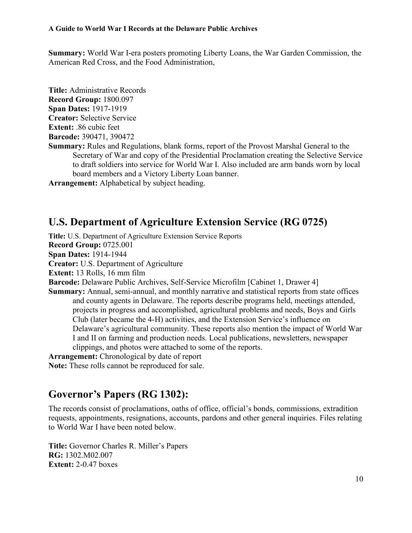**Summary:** World War I-era posters promoting Liberty Loans, the War Garden Commission, the American Red Cross, and the Food Administration,

**Title:** Administrative Records **Record Group:** 1800.097 **Span Dates:** 1917-1919 **Creator:** Selective Service **Extent:** .86 cubic feet **Barcode:** 390471, 390472 **Summary:** Rules and Regulations, blank forms, report of the Provost Marshal General to the Secretary of War and copy of the Presidential Proclamation creating the Selective Service to draft soldiers into service for World War I. Also included are arm bands worn by local board members and a Victory Liberty Loan banner.

**Arrangement:** Alphabetical by subject heading.

### <span id="page-9-0"></span>**U.S. Department of Agriculture Extension Service (RG 0725)**

**Title:** U.S. Department of Agriculture Extension Service Reports **Record Group:** 0725.001 **Span Dates:** 1914-1944 **Creator:** U.S. Department of Agriculture **Extent:** 13 Rolls, 16 mm film **Barcode:** Delaware Public Archives, Self-Service Microfilm [Cabinet 1, Drawer 4] **Summary:** Annual, semi-annual, and monthly narrative and statistical reports from state offices and county agents in Delaware. The reports describe programs held, meetings attended, projects in progress and accomplished, agricultural problems and needs, Boys and Girls Club (later became the 4-H) activities, and the Extension Service's influence on Delaware's agricultural community. These reports also mention the impact of World War I and II on farming and production needs. Local publications, newsletters, newspaper clippings, and photos were attached to some of the reports. **Arrangement:** Chronological by date of report **Note:** These rolls cannot be reproduced for sale.

### <span id="page-9-1"></span>**Governor's Papers (RG 1302):**

The records consist of proclamations, oaths of office, official's bonds, commissions, extradition requests, appointments, resignations, accounts, pardons and other general inquiries. Files relating to World War I have been noted below.

**Title:** Governor Charles R. Miller's Papers **RG:** 1302.M02.007 **Extent:** 2-0.47 boxes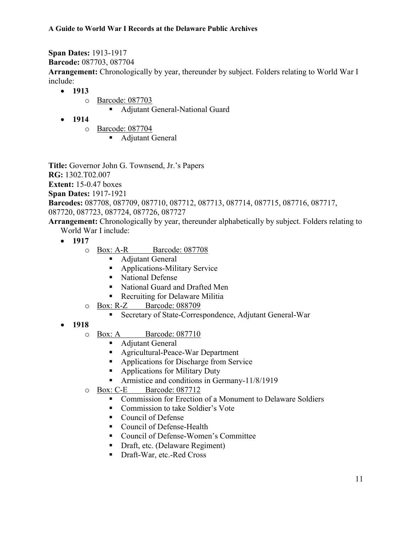**Span Dates:** 1913-1917

**Barcode:** 087703, 087704

**Arrangement:** Chronologically by year, thereunder by subject. Folders relating to World War I include:

- **1913**
	- o Barcode: 087703
		- Adjutant General-National Guard
- **1914**
	- o Barcode: 087704
		- Adjutant General

**Title:** Governor John G. Townsend, Jr.'s Papers **RG:** 1302.T02.007 **Extent:** 15-0.47 boxes **Span Dates:** 1917-1921 **Barcodes:** 087708, 087709, 087710, 087712, 087713, 087714, 087715, 087716, 087717, 087720, 087723, 087724, 087726, 087727

**Arrangement:** Chronologically by year, thereunder alphabetically by subject. Folders relating to World War I include:

- 
- **1917**
	- o Box: A-R Barcode: 087708
		- Adjutant General
		- **Applications-Military Service**
		- National Defense
		- Kational Guard and Drafted Men
		- Recruiting for Delaware Militia
	- o Box: R-Z Barcode: 088709
		- Secretary of State-Correspondence, Adjutant General-War
- **1918**
	- o Box: A Barcode: 087710
		- **Adjutant General**
		- Agricultural-Peace-War Department
		- Applications for Discharge from Service
		- Applications for Military Duty
		- **Armistice and conditions in Germany-11/8/1919**
	- o Box: C-E Barcode: 087712
		- Commission for Erection of a Monument to Delaware Soldiers
		- Commission to take Soldier's Vote
		- Council of Defense
		- Council of Defense-Health
		- Council of Defense-Women's Committee
		- Draft, etc. (Delaware Regiment)
		- Draft-War, etc.-Red Cross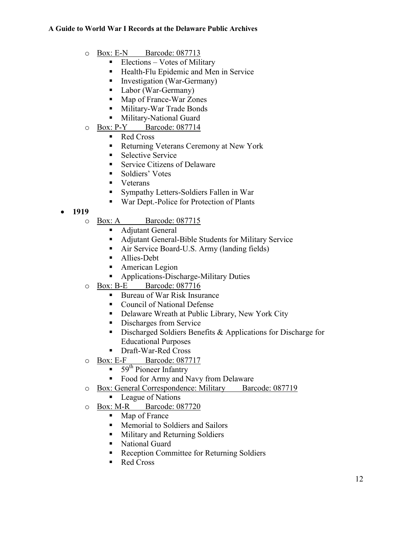- o Box: E-N Barcode: 087713
	- Elections Votes of Military
	- Health-Flu Epidemic and Men in Service
	- **Investigation (War-Germany)**
	- Labor (War-Germany)
	- Map of France-War Zones
	- **Military-War Trade Bonds**
	- **Military-National Guard**
- o Box: P-Y Barcode: 087714
	- Red Cross
	- Returning Veterans Ceremony at New York
	- Selective Service
	- Service Citizens of Delaware
	- Soldiers' Votes
	- **veterans**
	- Sympathy Letters-Soldiers Fallen in War
	- War Dept.-Police for Protection of Plants

#### **1919**

- o Box: A Barcode: 087715
	- Adjutant General
	- Adjutant General-Bible Students for Military Service
	- Air Service Board-U.S. Army (landing fields)
	- Allies-Debt
	- **American Legion**
	- **Applications-Discharge-Military Duties**
- o Box: B-E Barcode: 087716
	- Bureau of War Risk Insurance
	- Council of National Defense
	- Delaware Wreath at Public Library, New York City
	- Discharges from Service
	- Discharged Soldiers Benefits & Applications for Discharge for Educational Purposes
	- Draft-War-Red Cross
- o Box: E-F Barcode: 087717
	- $\blacksquare$  59<sup>th</sup> Pioneer Infantry
	- Food for Army and Navy from Delaware
- o Box: General Correspondence: Military Barcode: 087719
	- League of Nations
- o Box: M-R Barcode: 087720
	- Map of France
	- **Memorial to Soldiers and Sailors**
	- **Military and Returning Soldiers**
	- National Guard
	- Reception Committee for Returning Soldiers
	- Red Cross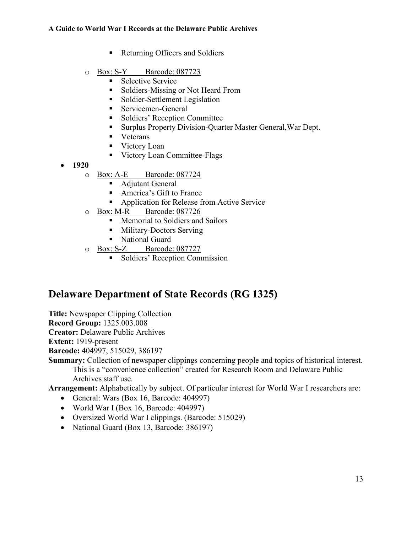- Returning Officers and Soldiers
- o Box: S-Y Barcode: 087723
	- **Selective Service**
	- Soldiers-Missing or Not Heard From
	- Soldier-Settlement Legislation
	- Servicemen-General
	- Soldiers' Reception Committee
	- Surplus Property Division-Quarter Master General,War Dept.
	- **veterans**
	- Victory Loan
	- Victory Loan Committee-Flags
- **1920**
	- o Box: A-E Barcode: 087724
		- Adjutant General
		- America's Gift to France
		- **Application for Release from Active Service**
	- o Box: M-R Barcode: 087726
		- **Memorial to Soldiers and Sailors**
		- **Military-Doctors Serving**
		- National Guard
	- o Box: S-Z Barcode: 087727
		- **Soldiers' Reception Commission**

### <span id="page-12-0"></span>**Delaware Department of State Records (RG 1325)**

**Title:** Newspaper Clipping Collection

**Record Group:** 1325.003.008

**Creator:** Delaware Public Archives

**Extent:** 1919-present

**Barcode:** 404997, 515029, 386197

**Summary:** Collection of newspaper clippings concerning people and topics of historical interest. This is a "convenience collection" created for Research Room and Delaware Public Archives staff use.

**Arrangement:** Alphabetically by subject. Of particular interest for World War I researchers are:

- General: Wars (Box 16, Barcode: 404997)
- World War I (Box 16, Barcode: 404997)
- Oversized World War I clippings. (Barcode: 515029)
- National Guard (Box 13, Barcode: 386197)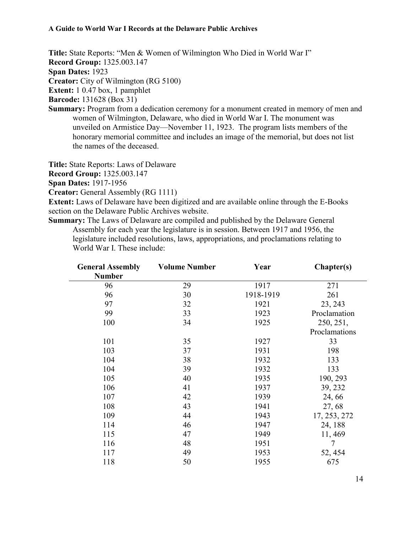**Title:** State Reports: "Men & Women of Wilmington Who Died in World War I"

**Record Group:** 1325.003.147

**Span Dates:** 1923

**Creator:** City of Wilmington (RG 5100)

**Extent:** 1 0.47 box, 1 pamphlet

**Barcode:** 131628 (Box 31)

**Summary:** Program from a dedication ceremony for a monument created in memory of men and women of Wilmington, Delaware, who died in World War I. The monument was unveiled on Armistice Day—November 11, 1923. The program lists members of the honorary memorial committee and includes an image of the memorial, but does not list the names of the deceased.

**Title:** State Reports: Laws of Delaware

**Record Group:** 1325.003.147

**Span Dates:** 1917-1956

**Creator:** General Assembly (RG 1111)

**Extent:** Laws of Delaware have been digitized and are available online through the E-Books section on the Delaware Public Archives website.

**Summary:** The Laws of Delaware are compiled and published by the Delaware General Assembly for each year the legislature is in session. Between 1917 and 1956, the legislature included resolutions, laws, appropriations, and proclamations relating to World War I. These include:

| <b>General Assembly</b> | <b>Volume Number</b> | Year      | Chapter(s)    |
|-------------------------|----------------------|-----------|---------------|
| <b>Number</b>           |                      |           |               |
| 96                      | 29                   | 1917      | 271           |
| 96                      | 30                   | 1918-1919 | 261           |
| 97                      | 32                   | 1921      | 23, 243       |
| 99                      | 33                   | 1923      | Proclamation  |
| 100                     | 34                   | 1925      | 250, 251,     |
|                         |                      |           | Proclamations |
| 101                     | 35                   | 1927      | 33            |
| 103                     | 37                   | 1931      | 198           |
| 104                     | 38                   | 1932      | 133           |
| 104                     | 39                   | 1932      | 133           |
| 105                     | 40                   | 1935      | 190, 293      |
| 106                     | 41                   | 1937      | 39, 232       |
| 107                     | 42                   | 1939      | 24, 66        |
| 108                     | 43                   | 1941      | 27,68         |
| 109                     | 44                   | 1943      | 17, 253, 272  |
| 114                     | 46                   | 1947      | 24, 188       |
| 115                     | 47                   | 1949      | 11, 469       |
| 116                     | 48                   | 1951      | 7             |
| 117                     | 49                   | 1953      | 52, 454       |
| 118                     | 50                   | 1955      | 675           |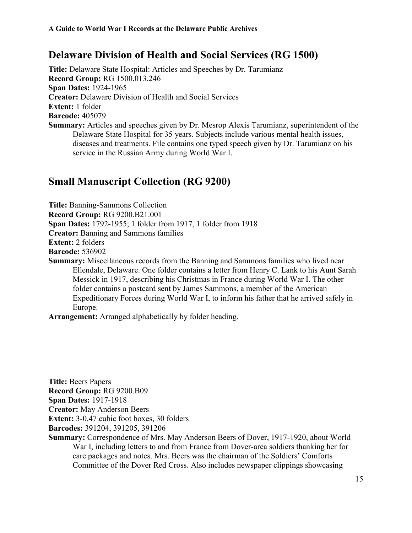## <span id="page-14-0"></span>**Delaware Division of Health and Social Services (RG 1500)**

**Title:** Delaware State Hospital: Articles and Speeches by Dr. Tarumianz **Record Group:** RG 1500.013.246 **Span Dates:** 1924-1965 **Creator:** Delaware Division of Health and Social Services **Extent:** 1 folder **Barcode:** 405079 **Summary:** Articles and speeches given by Dr. Mesrop Alexis Tarumianz, superintendent of the Delaware State Hospital for 35 years. Subjects include various mental health issues, diseases and treatments. File contains one typed speech given by Dr. Tarumianz on his service in the Russian Army during World War I.

## <span id="page-14-1"></span>**Small Manuscript Collection (RG 9200)**

**Title:** Banning-Sammons Collection **Record Group:** RG 9200.B21.001 **Span Dates:** 1792-1955; 1 folder from 1917, 1 folder from 1918 **Creator:** Banning and Sammons families **Extent:** 2 folders **Barcode:** 536902 **Summary:** Miscellaneous records from the Banning and Sammons families who lived near

Ellendale, Delaware. One folder contains a letter from Henry C. Lank to his Aunt Sarah Messick in 1917, describing his Christmas in France during World War I. The other folder contains a postcard sent by James Sammons, a member of the American Expeditionary Forces during World War I, to inform his father that he arrived safely in Europe.

**Arrangement:** Arranged alphabetically by folder heading.

**Title:** Beers Papers **Record Group:** RG 9200.B09 **Span Dates:** 1917-1918 **Creator:** May Anderson Beers

**Extent:** 3-0.47 cubic foot boxes, 30 folders

**Barcodes:** 391204, 391205, 391206

**Summary:** Correspondence of Mrs. May Anderson Beers of Dover, 1917-1920, about World War I, including letters to and from France from Dover-area soldiers thanking her for care packages and notes. Mrs. Beers was the chairman of the Soldiers' Comforts Committee of the Dover Red Cross. Also includes newspaper clippings showcasing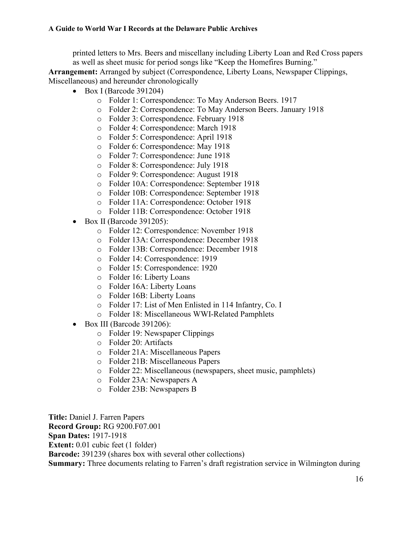printed letters to Mrs. Beers and miscellany including Liberty Loan and Red Cross papers as well as sheet music for period songs like "Keep the Homefires Burning." **Arrangement:** Arranged by subject (Correspondence, Liberty Loans, Newspaper Clippings,

Miscellaneous) and hereunder chronologically

- $\bullet$  Box I (Barcode 391204)
	- o Folder 1: Correspondence: To May Anderson Beers. 1917
	- o Folder 2: Correspondence: To May Anderson Beers. January 1918
	- o Folder 3: Correspondence. February 1918
	- o Folder 4: Correspondence: March 1918
	- o Folder 5: Correspondence: April 1918
	- o Folder 6: Correspondence: May 1918
	- o Folder 7: Correspondence: June 1918
	- o Folder 8: Correspondence: July 1918
	- o Folder 9: Correspondence: August 1918
	- o Folder 10A: Correspondence: September 1918
	- o Folder 10B: Correspondence: September 1918
	- o Folder 11A: Correspondence: October 1918
	- o Folder 11B: Correspondence: October 1918
- $\bullet$  Box II (Barcode 391205):
	- o Folder 12: Correspondence: November 1918
	- o Folder 13A: Correspondence: December 1918
	- o Folder 13B: Correspondence: December 1918
	- o Folder 14: Correspondence: 1919
	- o Folder 15: Correspondence: 1920
	- o Folder 16: Liberty Loans
	- o Folder 16A: Liberty Loans
	- o Folder 16B: Liberty Loans
	- o Folder 17: List of Men Enlisted in 114 Infantry, Co. I
	- o Folder 18: Miscellaneous WWI-Related Pamphlets
- Box III (Barcode 391206):
	- o Folder 19: Newspaper Clippings
	- o Folder 20: Artifacts
	- o Folder 21A: Miscellaneous Papers
	- o Folder 21B: Miscellaneous Papers
	- o Folder 22: Miscellaneous (newspapers, sheet music, pamphlets)
	- o Folder 23A: Newspapers A
	- o Folder 23B: Newspapers B

**Title:** Daniel J. Farren Papers **Record Group:** RG 9200.F07.001 **Span Dates:** 1917-1918 **Extent:** 0.01 cubic feet (1 folder) **Barcode:** 391239 (shares box with several other collections) **Summary:** Three documents relating to Farren's draft registration service in Wilmington during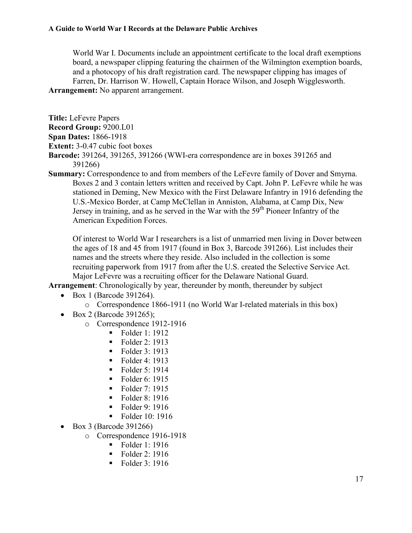World War I. Documents include an appointment certificate to the local draft exemptions board, a newspaper clipping featuring the chairmen of the Wilmington exemption boards, and a photocopy of his draft registration card. The newspaper clipping has images of Farren, Dr. Harrison W. Howell, Captain Horace Wilson, and Joseph Wigglesworth. **Arrangement:** No apparent arrangement.

**Title:** LeFevre Papers

**Record Group:** 9200.L01

**Span Dates:** 1866-1918

**Extent:** 3-0.47 cubic foot boxes

**Barcode:** 391264, 391265, 391266 (WWI-era correspondence are in boxes 391265 and 391266)

**Summary:** Correspondence to and from members of the LeFevre family of Dover and Smyrna. Boxes 2 and 3 contain letters written and received by Capt. John P. LeFevre while he was stationed in Deming, New Mexico with the First Delaware Infantry in 1916 defending the U.S.-Mexico Border, at Camp McClellan in Anniston, Alabama, at Camp Dix, New Jersey in training, and as he served in the War with the 59<sup>th</sup> Pioneer Infantry of the American Expedition Forces.

Of interest to World War I researchers is a list of unmarried men living in Dover between the ages of 18 and 45 from 1917 (found in Box 3, Barcode 391266). List includes their names and the streets where they reside. Also included in the collection is some recruiting paperwork from 1917 from after the U.S. created the Selective Service Act. Major LeFevre was a recruiting officer for the Delaware National Guard.

**Arrangement**: Chronologically by year, thereunder by month, thereunder by subject

- Box 1 (Barcode 391264).
	- o Correspondence 1866-1911 (no World War I-related materials in this box)
- Box 2 (Barcode 391265);
	- o Correspondence 1912-1916
		- $\blacksquare$  Folder 1: 1912
		- Folder 2:  $1913$
		- Folder 3: 1913
		- $\blacksquare$  Folder 4: 1913
		- $\blacksquare$  Folder 5: 1914
		- Folder 6:  $1915$
		- **Folder 7: 1915**
		- Folder 8:  $1916$
		- Folder 9: 1916
		- Folder  $10:1916$
- $\bullet$  Box 3 (Barcode 391266)
	- o Correspondence 1916-1918
		- $\blacksquare$  Folder 1: 1916
		- Folder 2:  $1916$
		- $\blacksquare$  Folder 3: 1916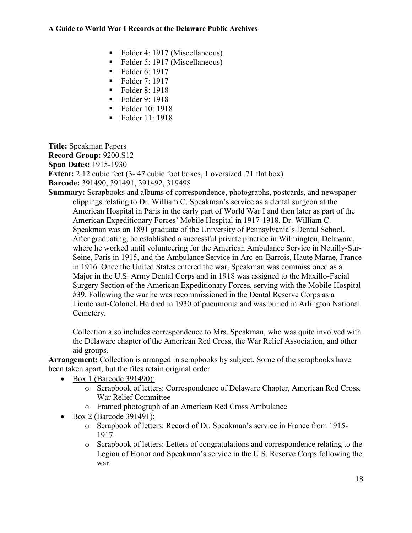- Folder 4: 1917 (Miscellaneous)
- Folder 5: 1917 (Miscellaneous)
- Folder 6: 1917
- $\blacksquare$  Folder 7: 1917
- $\blacksquare$  Folder 8: 1918
- Folder 9:  $1918$
- Folder  $10 \cdot 1918$
- Folder 11: 1918

**Title:** Speakman Papers **Record Group:** 9200.S12 **Span Dates:** 1915-1930 **Extent:** 2.12 cubic feet (3-.47 cubic foot boxes, 1 oversized .71 flat box) **Barcode:** 391490, 391491, 391492, 319498

**Summary:** Scrapbooks and albums of correspondence, photographs, postcards, and newspaper clippings relating to Dr. William C. Speakman's service as a dental surgeon at the American Hospital in Paris in the early part of World War I and then later as part of the American Expeditionary Forces' Mobile Hospital in 1917-1918. Dr. William C. Speakman was an 1891 graduate of the University of Pennsylvania's Dental School. After graduating, he established a successful private practice in Wilmington, Delaware, where he worked until volunteering for the American Ambulance Service in Neuilly-Sur-Seine, Paris in 1915, and the Ambulance Service in Arc-en-Barrois, Haute Marne, France in 1916. Once the United States entered the war, Speakman was commissioned as a Major in the U.S. Army Dental Corps and in 1918 was assigned to the Maxillo-Facial Surgery Section of the American Expeditionary Forces, serving with the Mobile Hospital #39. Following the war he was recommissioned in the Dental Reserve Corps as a Lieutenant-Colonel. He died in 1930 of pneumonia and was buried in Arlington National Cemetery.

Collection also includes correspondence to Mrs. Speakman, who was quite involved with the Delaware chapter of the American Red Cross, the War Relief Association, and other aid groups.

**Arrangement:** Collection is arranged in scrapbooks by subject. Some of the scrapbooks have been taken apart, but the files retain original order.

- Box 1 (Barcode 391490):
	- o Scrapbook of letters: Correspondence of Delaware Chapter, American Red Cross, War Relief Committee
	- o Framed photograph of an American Red Cross Ambulance
- Box 2 (Barcode 391491):
	- o Scrapbook of letters: Record of Dr. Speakman's service in France from 1915- 1917.
	- o Scrapbook of letters: Letters of congratulations and correspondence relating to the Legion of Honor and Speakman's service in the U.S. Reserve Corps following the war.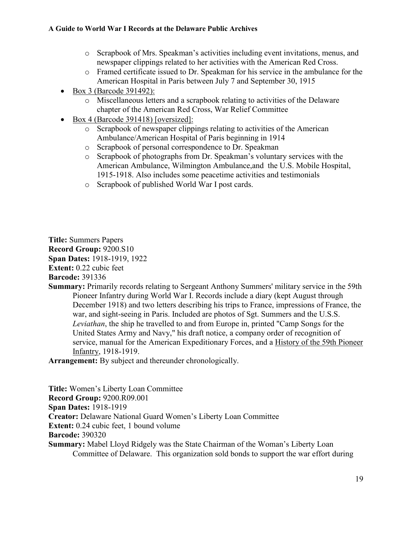- o Scrapbook of Mrs. Speakman's activities including event invitations, menus, and newspaper clippings related to her activities with the American Red Cross.
- o Framed certificate issued to Dr. Speakman for his service in the ambulance for the American Hospital in Paris between July 7 and September 30, 1915
- Box 3 (Barcode 391492):
	- o Miscellaneous letters and a scrapbook relating to activities of the Delaware chapter of the American Red Cross, War Relief Committee
- Box 4 (Barcode 391418) [oversized]:
	- o Scrapbook of newspaper clippings relating to activities of the American Ambulance/American Hospital of Paris beginning in 1914
	- o Scrapbook of personal correspondence to Dr. Speakman
	- o Scrapbook of photographs from Dr. Speakman's voluntary services with the American Ambulance, Wilmington Ambulance,and the U.S. Mobile Hospital, 1915-1918. Also includes some peacetime activities and testimonials
	- o Scrapbook of published World War I post cards.

**Title:** Summers Papers **Record Group:** 9200.S10 **Span Dates:** 1918-1919, 1922 **Extent:** 0.22 cubic feet

**Barcode:** 391336

**Summary:** Primarily records relating to Sergeant Anthony Summers' military service in the 59th Pioneer Infantry during World War I. Records include a diary (kept August through December 1918) and two letters describing his trips to France, impressions of France, the war, and sight-seeing in Paris. Included are photos of Sgt. Summers and the U.S.S. *Leviathan*, the ship he travelled to and from Europe in, printed "Camp Songs for the United States Army and Navy," his draft notice, a company order of recognition of service, manual for the American Expeditionary Forces, and a History of the 59th Pioneer Infantry, 1918-1919.

**Arrangement:** By subject and thereunder chronologically.

**Title:** Women's Liberty Loan Committee **Record Group:** 9200.R09.001 **Span Dates:** 1918-1919 **Creator:** Delaware National Guard Women's Liberty Loan Committee **Extent:** 0.24 cubic feet, 1 bound volume **Barcode:** 390320 **Summary:** Mabel Lloyd Ridgely was the State Chairman of the Woman's Liberty Loan Committee of Delaware. This organization sold bonds to support the war effort during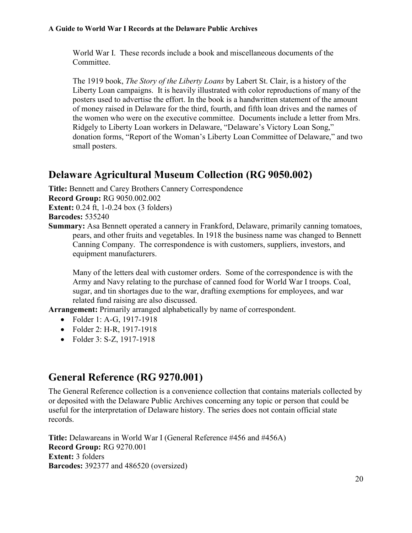World War I. These records include a book and miscellaneous documents of the **Committee** 

 The 1919 book, *The Story of the Liberty Loans* by Labert St. Clair, is a history of the Liberty Loan campaigns. It is heavily illustrated with color reproductions of many of the posters used to advertise the effort. In the book is a handwritten statement of the amount of money raised in Delaware for the third, fourth, and fifth loan drives and the names of the women who were on the executive committee. Documents include a letter from Mrs. Ridgely to Liberty Loan workers in Delaware, "Delaware's Victory Loan Song," donation forms, "Report of the Woman's Liberty Loan Committee of Delaware," and two small posters.

## <span id="page-19-0"></span>**Delaware Agricultural Museum Collection (RG 9050.002)**

**Title:** Bennett and Carey Brothers Cannery Correspondence **Record Group:** RG 9050.002.002

**Extent:** 0.24 ft, 1-0.24 box (3 folders)

**Barcodes:** 535240

**Summary:** Asa Bennett operated a cannery in Frankford, Delaware, primarily canning tomatoes, pears, and other fruits and vegetables. In 1918 the business name was changed to Bennett Canning Company. The correspondence is with customers, suppliers, investors, and equipment manufacturers.

Many of the letters deal with customer orders. Some of the correspondence is with the Army and Navy relating to the purchase of canned food for World War I troops. Coal, sugar, and tin shortages due to the war, drafting exemptions for employees, and war related fund raising are also discussed.

**Arrangement:** Primarily arranged alphabetically by name of correspondent.

- Folder 1: A-G, 1917-1918
- Folder 2: H-R, 1917-1918
- Folder 3: S-Z, 1917-1918

## <span id="page-19-1"></span>**General Reference (RG 9270.001)**

The General Reference collection is a convenience collection that contains materials collected by or deposited with the Delaware Public Archives concerning any topic or person that could be useful for the interpretation of Delaware history. The series does not contain official state records.

**Title:** Delawareans in World War I (General Reference #456 and #456A) **Record Group:** RG 9270.001 **Extent:** 3 folders **Barcodes:** 392377 and 486520 (oversized)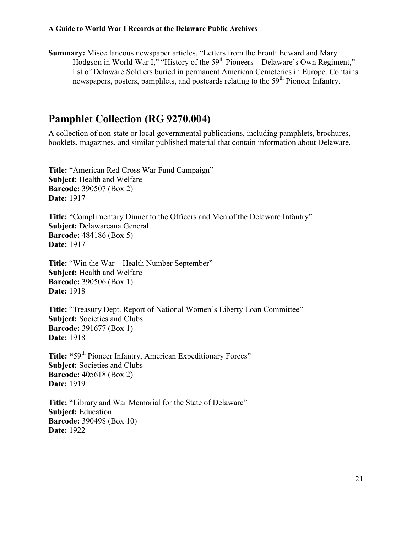**Summary:** Miscellaneous newspaper articles, "Letters from the Front: Edward and Mary Hodgson in World War I," "History of the 59<sup>th</sup> Pioneers—Delaware's Own Regiment," list of Delaware Soldiers buried in permanent American Cemeteries in Europe. Contains newspapers, posters, pamphlets, and postcards relating to the 59<sup>th</sup> Pioneer Infantry.

### <span id="page-20-0"></span>**Pamphlet Collection (RG 9270.004)**

A collection of non-state or local governmental publications, including pamphlets, brochures, booklets, magazines, and similar published material that contain information about Delaware.

**Title:** "American Red Cross War Fund Campaign" **Subject:** Health and Welfare **Barcode:** 390507 (Box 2) **Date:** 1917

**Title:** "Complimentary Dinner to the Officers and Men of the Delaware Infantry" **Subject:** Delawareana General **Barcode:** 484186 (Box 5) **Date:** 1917

**Title:** "Win the War – Health Number September" **Subject:** Health and Welfare **Barcode:** 390506 (Box 1) **Date:** 1918

**Title:** "Treasury Dept. Report of National Women's Liberty Loan Committee" **Subject:** Societies and Clubs **Barcode:** 391677 (Box 1) **Date:** 1918

Title: "59<sup>th</sup> Pioneer Infantry, American Expeditionary Forces" **Subject:** Societies and Clubs **Barcode:** 405618 (Box 2) **Date:** 1919

**Title:** "Library and War Memorial for the State of Delaware" **Subject:** Education **Barcode:** 390498 (Box 10) **Date:** 1922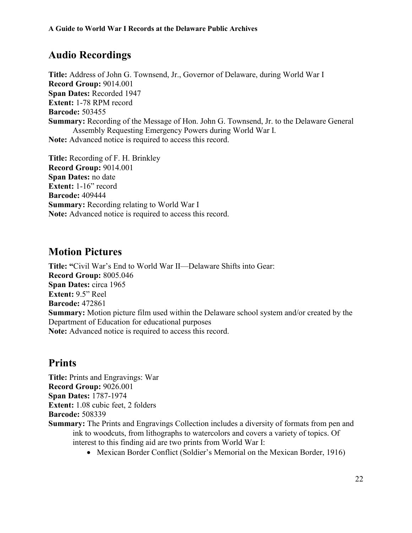## <span id="page-21-0"></span>**Audio Recordings**

**Title:** Address of John G. Townsend, Jr., Governor of Delaware, during World War I **Record Group:** 9014.001 **Span Dates:** Recorded 1947 **Extent:** 1-78 RPM record **Barcode:** 503455 **Summary:** Recording of the Message of Hon. John G. Townsend, Jr. to the Delaware General Assembly Requesting Emergency Powers during World War I. **Note:** Advanced notice is required to access this record.

**Title:** Recording of F. H. Brinkley **Record Group:** 9014.001 **Span Dates:** no date **Extent:** 1-16" record **Barcode:** 409444 **Summary:** Recording relating to World War I **Note:** Advanced notice is required to access this record.

### <span id="page-21-1"></span>**Motion Pictures**

**Title: "**Civil War's End to World War II—Delaware Shifts into Gear: **Record Group:** 8005.046 **Span Dates:** circa 1965 **Extent:** 9.5" Reel **Barcode:** 472861 **Summary:** Motion picture film used within the Delaware school system and/or created by the Department of Education for educational purposes **Note:** Advanced notice is required to access this record.

## <span id="page-21-2"></span>**Prints**

**Title:** Prints and Engravings: War **Record Group:** 9026.001 **Span Dates:** 1787-1974 **Extent:** 1.08 cubic feet, 2 folders

**Barcode:** 508339

- **Summary:** The Prints and Engravings Collection includes a diversity of formats from pen and ink to woodcuts, from lithographs to watercolors and covers a variety of topics. Of interest to this finding aid are two prints from World War I:
	- Mexican Border Conflict (Soldier's Memorial on the Mexican Border, 1916)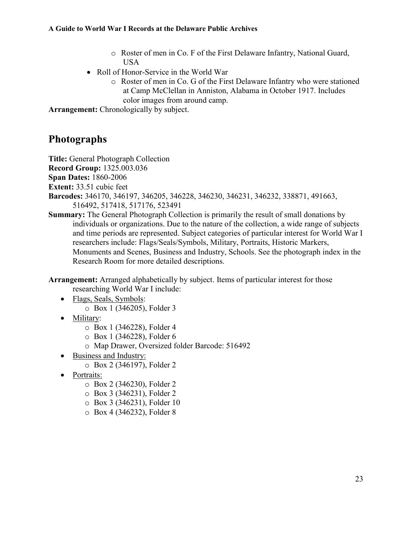- o Roster of men in Co. F of the First Delaware Infantry, National Guard, USA
- Roll of Honor-Service in the World War
	- o Roster of men in Co. G of the First Delaware Infantry who were stationed at Camp McClellan in Anniston, Alabama in October 1917. Includes color images from around camp.

**Arrangement:** Chronologically by subject.

## <span id="page-22-0"></span>**Photographs**

**Title:** General Photograph Collection

**Record Group:** 1325.003.036

**Span Dates:** 1860-2006

**Extent:** 33.51 cubic feet

- **Barcodes:** 346170, 346197, 346205, 346228, 346230, 346231, 346232, 338871, 491663, 516492, 517418, 517176, 523491
- **Summary:** The General Photograph Collection is primarily the result of small donations by individuals or organizations. Due to the nature of the collection, a wide range of subjects and time periods are represented. Subject categories of particular interest for World War I researchers include: Flags/Seals/Symbols, Military, Portraits, Historic Markers, Monuments and Scenes, Business and Industry, Schools. See the photograph index in the Research Room for more detailed descriptions.

**Arrangement:** Arranged alphabetically by subject. Items of particular interest for those researching World War I include:

- Flags, Seals, Symbols:
	- o Box 1 (346205), Folder 3
- Military:
	- o Box 1 (346228), Folder 4
	- o Box 1 (346228), Folder 6
	- o Map Drawer, Oversized folder Barcode: 516492
- Business and Industry:
	- o Box 2 (346197), Folder 2
- Portraits:
	- o Box 2 (346230), Folder 2
	- o Box 3 (346231), Folder 2
	- o Box 3 (346231), Folder 10
	- o Box 4 (346232), Folder 8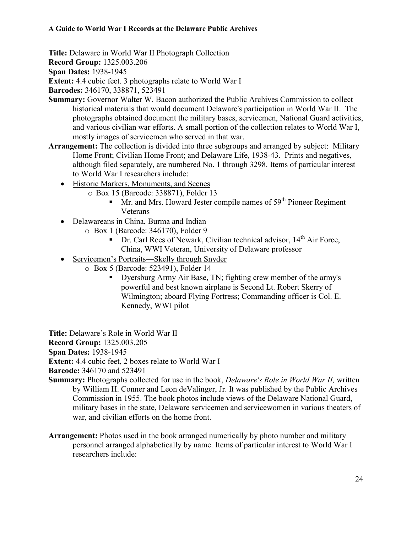**Title:** Delaware in World War II Photograph Collection

**Record Group:** 1325.003.206

**Span Dates:** 1938-1945

**Extent:** 4.4 cubic feet. 3 photographs relate to World War I

**Barcodes:** 346170, 338871, 523491

- **Summary:** Governor Walter W. Bacon authorized the Public Archives Commission to collect historical materials that would document Delaware's participation in World War II. The photographs obtained document the military bases, servicemen, National Guard activities, and various civilian war efforts. A small portion of the collection relates to World War I, mostly images of servicemen who served in that war.
- **Arrangement:** The collection is divided into three subgroups and arranged by subject: Military Home Front; Civilian Home Front; and Delaware Life, 1938-43. Prints and negatives, although filed separately, are numbered No. 1 through 3298. Items of particular interest to World War I researchers include:
	- Historic Markers, Monuments, and Scenes
		- o Box 15 (Barcode: 338871), Folder 13
			- $\blacksquare$  Mr. and Mrs. Howard Jester compile names of 59<sup>th</sup> Pioneer Regiment Veterans
	- Delawareans in China, Burma and Indian
		- o Box 1 (Barcode: 346170), Folder 9
			- Dr. Carl Rees of Newark, Civilian technical advisor, 14<sup>th</sup> Air Force, China, WWI Veteran, University of Delaware professor
	- Servicemen's Portraits—Skelly through Snyder
		- o Box 5 (Barcode: 523491), Folder 14
			- Dyersburg Army Air Base, TN; fighting crew member of the army's powerful and best known airplane is Second Lt. Robert Skerry of Wilmington; aboard Flying Fortress; Commanding officer is Col. E. Kennedy, WWI pilot

**Title:** Delaware's Role in World War II

**Record Group:** 1325.003.205

**Span Dates:** 1938-1945

**Extent:** 4.4 cubic feet, 2 boxes relate to World War I

**Barcode:** 346170 and 523491

- **Summary:** Photographs collected for use in the book, *Delaware's Role in World War II,* written by William H. Conner and Leon deValinger, Jr. It was published by the Public Archives Commission in 1955. The book photos include views of the Delaware National Guard, military bases in the state, Delaware servicemen and servicewomen in various theaters of war, and civilian efforts on the home front.
- **Arrangement:** Photos used in the book arranged numerically by photo number and military personnel arranged alphabetically by name. Items of particular interest to World War I researchers include: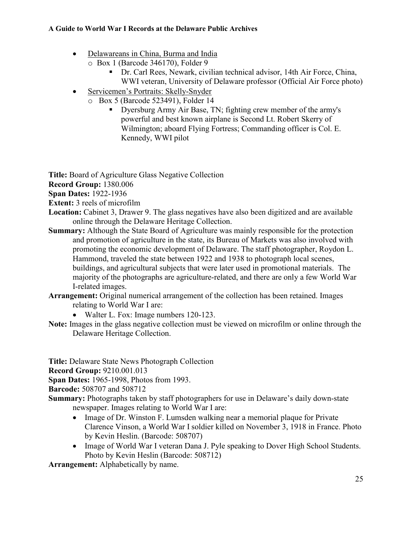- Delawareans in China, Burma and India
	- o Box 1 (Barcode 346170), Folder 9
		- Dr. Carl Rees, Newark, civilian technical advisor, 14th Air Force, China, WWI veteran, University of Delaware professor (Official Air Force photo)
- Servicemen's Portraits: Skelly-Snyder
	- o Box 5 (Barcode 523491), Folder 14
		- Dyersburg Army Air Base, TN; fighting crew member of the army's powerful and best known airplane is Second Lt. Robert Skerry of Wilmington; aboard Flying Fortress; Commanding officer is Col. E. Kennedy, WWI pilot

**Title:** Board of Agriculture Glass Negative Collection

**Record Group:** 1380.006

**Span Dates:** 1922-1936

**Extent:** 3 reels of microfilm

- Location: Cabinet 3, Drawer 9. The glass negatives have also been digitized and are available online through the Delaware Heritage Collection.
- **Summary:** Although the State Board of Agriculture was mainly responsible for the protection and promotion of agriculture in the state, its Bureau of Markets was also involved with promoting the economic development of Delaware. The staff photographer, Roydon L. Hammond, traveled the state between 1922 and 1938 to photograph local scenes, buildings, and agricultural subjects that were later used in promotional materials. The majority of the photographs are agriculture-related, and there are only a few World War I-related images.
- **Arrangement:** Original numerical arrangement of the collection has been retained. Images relating to World War I are:
	- Walter L. Fox: Image numbers 120-123.
- **Note:** Images in the glass negative collection must be viewed on microfilm or online through the Delaware Heritage Collection.

**Title:** Delaware State News Photograph Collection

**Record Group:** 9210.001.013

**Span Dates:** 1965-1998, Photos from 1993.

**Barcode:** 508707 and 508712

**Summary:** Photographs taken by staff photographers for use in Delaware's daily down-state newspaper. Images relating to World War I are:

- Image of Dr. Winston F. Lumsden walking near a memorial plaque for Private Clarence Vinson, a World War I soldier killed on November 3, 1918 in France. Photo by Kevin Heslin. (Barcode: 508707)
- Image of World War I veteran Dana J. Pyle speaking to Dover High School Students. Photo by Kevin Heslin (Barcode: 508712)

**Arrangement:** Alphabetically by name.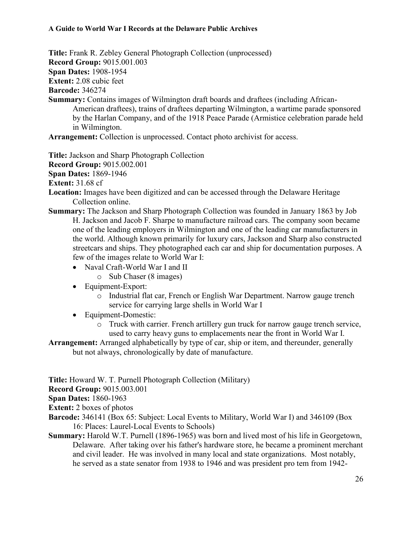**Title:** Frank R. Zebley General Photograph Collection (unprocessed) **Record Group:** 9015.001.003 **Span Dates:** 1908-1954

**Extent:** 2.08 cubic feet

**Barcode:** 346274

**Summary:** Contains images of Wilmington draft boards and draftees (including African-American draftees), trains of draftees departing Wilmington, a wartime parade sponsored by the Harlan Company, and of the 1918 Peace Parade (Armistice celebration parade held in Wilmington.

**Arrangement:** Collection is unprocessed. Contact photo archivist for access.

**Title:** Jackson and Sharp Photograph Collection

**Record Group:** 9015.002.001

**Span Dates:** 1869-1946

**Extent:** 31.68 cf

- **Location:** Images have been digitized and can be accessed through the Delaware Heritage Collection online.
- **Summary:** The Jackson and Sharp Photograph Collection was founded in January 1863 by Job H. Jackson and Jacob F. Sharpe to manufacture railroad cars. The company soon became one of the leading employers in Wilmington and one of the leading car manufacturers in the world. Although known primarily for luxury cars, Jackson and Sharp also constructed streetcars and ships. They photographed each car and ship for documentation purposes. A few of the images relate to World War I:
	- Naval Craft-World War I and II
		- o Sub Chaser (8 images)
	- Equipment-Export:
		- o Industrial flat car, French or English War Department. Narrow gauge trench service for carrying large shells in World War I
	- Equipment-Domestic:
		- o Truck with carrier. French artillery gun truck for narrow gauge trench service, used to carry heavy guns to emplacements near the front in World War I.

**Arrangement:** Arranged alphabetically by type of car, ship or item, and thereunder, generally but not always, chronologically by date of manufacture.

**Title:** Howard W. T. Purnell Photograph Collection (Military)

**Record Group:** 9015.003.001

**Span Dates:** 1860-1963

**Extent:** 2 boxes of photos

- **Barcode:** 346141 (Box 65: Subject: Local Events to Military, World War I) and 346109 (Box 16: Places: Laurel-Local Events to Schools)
- **Summary:** Harold W.T. Purnell (1896-1965) was born and lived most of his life in Georgetown, Delaware. After taking over his father's hardware store, he became a prominent merchant and civil leader. He was involved in many local and state organizations. Most notably, he served as a state senator from 1938 to 1946 and was president pro tem from 1942-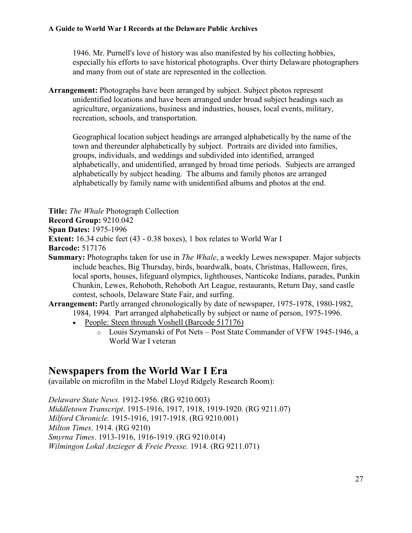1946. Mr. Purnell's love of history was also manifested by his collecting hobbies, especially his efforts to save historical photographs. Over thirty Delaware photographers and many from out of state are represented in the collection.

**Arrangement:** Photographs have been arranged by subject. Subject photos represent unidentified locations and have been arranged under broad subject headings such as agriculture, organizations, business and industries, houses, local events, military, recreation, schools, and transportation.

Geographical location subject headings are arranged alphabetically by the name of the town and thereunder alphabetically by subject. Portraits are divided into families, groups, individuals, and weddings and subdivided into identified, arranged alphabetically, and unidentified, arranged by broad time periods. Subjects are arranged alphabetically by subject heading. The albums and family photos are arranged alphabetically by family name with unidentified albums and photos at the end.

**Title:** *The Whale* Photograph Collection

**Record Group:** 9210.042

**Span Dates:** 1975-1996

**Extent:** 16.34 cubic feet (43 - 0.38 boxes), 1 box relates to World War I

**Barcode:** 517176

**Summary:** Photographs taken for use in *The Whale*, a weekly Lewes newspaper. Major subjects include beaches, Big Thursday, birds, boardwalk, boats, Christmas, Halloween, fires, local sports, houses, lifeguard olympics, lighthouses, Nanticoke Indians, parades, Punkin Chunkin, Lewes, Rehoboth, Rehoboth Art League, restaurants, Return Day, sand castle contest, schools, Delaware State Fair, and surfing.

**Arrangement:** Partly arranged chronologically by date of newspaper, 1975-1978, 1980-1982, 1984, 1994. Part arranged alphabetically by subject or name of person, 1975-1996.

- People: Steen through Voshell (Barcode 517176)
	- o Louis Szymanski of Pot Nets Post State Commander of VFW 1945-1946, a World War I veteran

### <span id="page-26-0"></span>**Newspapers from the World War I Era**

(available on microfilm in the Mabel Lloyd Ridgely Research Room):

*Delaware State News.* 1912-1956. (RG 9210.003) *Middletown Transcript*. 1915-1916, 1917, 1918, 1919-1920. (RG 9211.07) *Milford Chronicle.* 1915-1916, 1917-1918. (RG 9210.001) *Milton Times*. 1914. (RG 9210) *Smyrna Times*. 1913-1916, 1916-1919. (RG 9210.014) *Wilmingon Lokal Anzieger & Freie Presse.* 1914. (RG 9211.071)